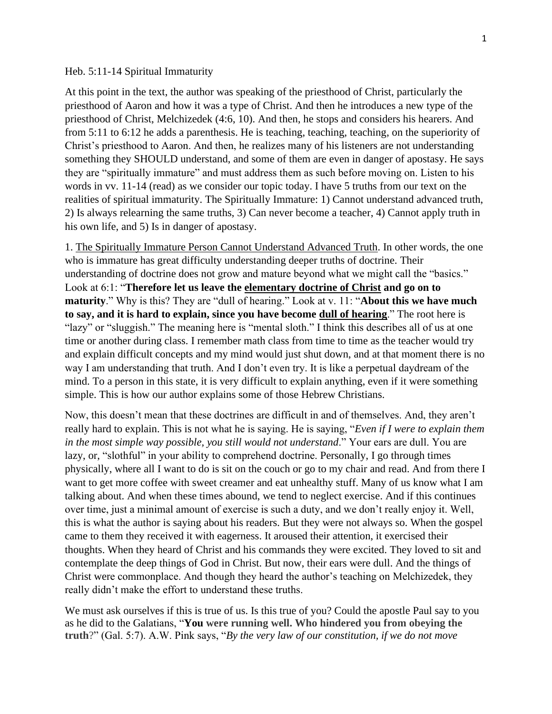## Heb. 5:11-14 Spiritual Immaturity

At this point in the text, the author was speaking of the priesthood of Christ, particularly the priesthood of Aaron and how it was a type of Christ. And then he introduces a new type of the priesthood of Christ, Melchizedek (4:6, 10). And then, he stops and considers his hearers. And from 5:11 to 6:12 he adds a parenthesis. He is teaching, teaching, teaching, on the superiority of Christ's priesthood to Aaron. And then, he realizes many of his listeners are not understanding something they SHOULD understand, and some of them are even in danger of apostasy. He says they are "spiritually immature" and must address them as such before moving on. Listen to his words in vv. 11-14 (read) as we consider our topic today. I have 5 truths from our text on the realities of spiritual immaturity. The Spiritually Immature: 1) Cannot understand advanced truth, 2) Is always relearning the same truths, 3) Can never become a teacher, 4) Cannot apply truth in his own life, and 5) Is in danger of apostasy.

1. The Spiritually Immature Person Cannot Understand Advanced Truth. In other words, the one who is immature has great difficulty understanding deeper truths of doctrine. Their understanding of doctrine does not grow and mature beyond what we might call the "basics." Look at 6:1: "**Therefore let us leave the elementary doctrine of Christ and go on to maturity**." Why is this? They are "dull of hearing." Look at v. 11: "**About this we have much to say, and it is hard to explain, since you have become dull of hearing**." The root here is "lazy" or "sluggish." The meaning here is "mental sloth." I think this describes all of us at one time or another during class. I remember math class from time to time as the teacher would try and explain difficult concepts and my mind would just shut down, and at that moment there is no way I am understanding that truth. And I don't even try. It is like a perpetual daydream of the mind. To a person in this state, it is very difficult to explain anything, even if it were something simple. This is how our author explains some of those Hebrew Christians.

Now, this doesn't mean that these doctrines are difficult in and of themselves. And, they aren't really hard to explain. This is not what he is saying. He is saying, "*Even if I were to explain them in the most simple way possible, you still would not understand*." Your ears are dull. You are lazy, or, "slothful" in your ability to comprehend doctrine. Personally, I go through times physically, where all I want to do is sit on the couch or go to my chair and read. And from there I want to get more coffee with sweet creamer and eat unhealthy stuff. Many of us know what I am talking about. And when these times abound, we tend to neglect exercise. And if this continues over time, just a minimal amount of exercise is such a duty, and we don't really enjoy it. Well, this is what the author is saying about his readers. But they were not always so. When the gospel came to them they received it with eagerness. It aroused their attention, it exercised their thoughts. When they heard of Christ and his commands they were excited. They loved to sit and contemplate the deep things of God in Christ. But now, their ears were dull. And the things of Christ were commonplace. And though they heard the author's teaching on Melchizedek, they really didn't make the effort to understand these truths.

We must ask ourselves if this is true of us. Is this true of you? Could the apostle Paul say to you as he did to the Galatians, "**You were running well. Who hindered you from obeying the truth**?" (Gal. 5:7). A.W. Pink says, "*By the very law of our constitution, if we do not move*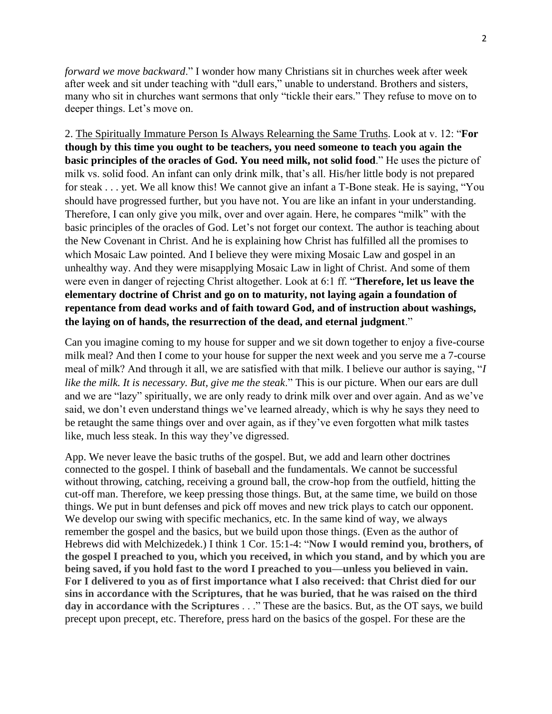*forward we move backward*." I wonder how many Christians sit in churches week after week after week and sit under teaching with "dull ears," unable to understand. Brothers and sisters, many who sit in churches want sermons that only "tickle their ears." They refuse to move on to deeper things. Let's move on.

2. The Spiritually Immature Person Is Always Relearning the Same Truths. Look at v. 12: "**For though by this time you ought to be teachers, you need someone to teach you again the basic principles of the oracles of God. You need milk, not solid food**." He uses the picture of milk vs. solid food. An infant can only drink milk, that's all. His/her little body is not prepared for steak . . . yet. We all know this! We cannot give an infant a T-Bone steak. He is saying, "You should have progressed further, but you have not. You are like an infant in your understanding. Therefore, I can only give you milk, over and over again. Here, he compares "milk" with the basic principles of the oracles of God. Let's not forget our context. The author is teaching about the New Covenant in Christ. And he is explaining how Christ has fulfilled all the promises to which Mosaic Law pointed. And I believe they were mixing Mosaic Law and gospel in an unhealthy way. And they were misapplying Mosaic Law in light of Christ. And some of them were even in danger of rejecting Christ altogether. Look at 6:1 ff. "**Therefore, let us leave the elementary doctrine of Christ and go on to maturity, not laying again a foundation of repentance from dead works and of faith toward God, and of instruction about washings, the laying on of hands, the resurrection of the dead, and eternal judgment**."

Can you imagine coming to my house for supper and we sit down together to enjoy a five-course milk meal? And then I come to your house for supper the next week and you serve me a 7-course meal of milk? And through it all, we are satisfied with that milk. I believe our author is saying, "*I like the milk. It is necessary. But, give me the steak*." This is our picture. When our ears are dull and we are "lazy" spiritually, we are only ready to drink milk over and over again. And as we've said, we don't even understand things we've learned already, which is why he says they need to be retaught the same things over and over again, as if they've even forgotten what milk tastes like, much less steak. In this way they've digressed.

App. We never leave the basic truths of the gospel. But, we add and learn other doctrines connected to the gospel. I think of baseball and the fundamentals. We cannot be successful without throwing, catching, receiving a ground ball, the crow-hop from the outfield, hitting the cut-off man. Therefore, we keep pressing those things. But, at the same time, we build on those things. We put in bunt defenses and pick off moves and new trick plays to catch our opponent. We develop our swing with specific mechanics, etc. In the same kind of way, we always remember the gospel and the basics, but we build upon those things. (Even as the author of Hebrews did with Melchizedek.) I think 1 Cor. 15:1-4: "**Now I would remind you, brothers, of the gospel I preached to you, which you received, in which you stand, and by which you are being saved, if you hold fast to the word I preached to you—unless you believed in vain. For I delivered to you as of first importance what I also received: that Christ died for our sins in accordance with the Scriptures, that he was buried, that he was raised on the third day in accordance with the Scriptures** . . ." These are the basics. But, as the OT says, we build precept upon precept, etc. Therefore, press hard on the basics of the gospel. For these are the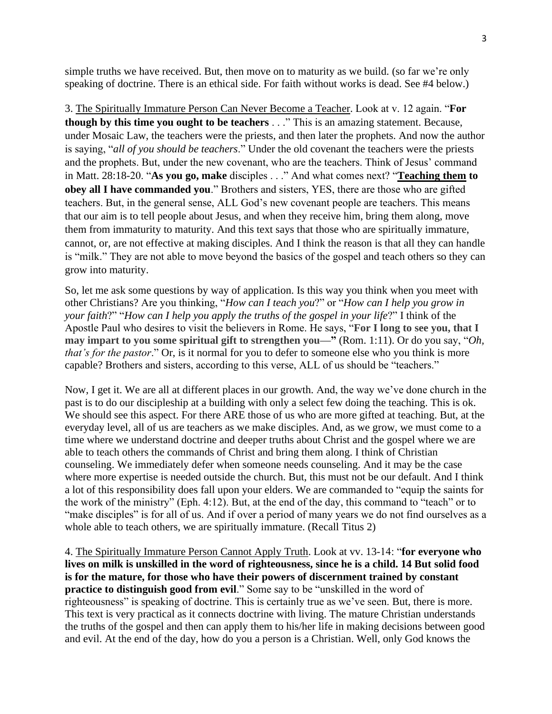simple truths we have received. But, then move on to maturity as we build. (so far we're only speaking of doctrine. There is an ethical side. For faith without works is dead. See #4 below.)

3. The Spiritually Immature Person Can Never Become a Teacher. Look at v. 12 again. "**For though by this time you ought to be teachers** . . ." This is an amazing statement. Because, under Mosaic Law, the teachers were the priests, and then later the prophets. And now the author is saying, "*all of you should be teachers*." Under the old covenant the teachers were the priests and the prophets. But, under the new covenant, who are the teachers. Think of Jesus' command in Matt. 28:18-20. "**As you go, make** disciples . . ." And what comes next? "**Teaching them to obey all I have commanded you**." Brothers and sisters, YES, there are those who are gifted teachers. But, in the general sense, ALL God's new covenant people are teachers. This means that our aim is to tell people about Jesus, and when they receive him, bring them along, move them from immaturity to maturity. And this text says that those who are spiritually immature, cannot, or, are not effective at making disciples. And I think the reason is that all they can handle is "milk." They are not able to move beyond the basics of the gospel and teach others so they can grow into maturity.

So, let me ask some questions by way of application. Is this way you think when you meet with other Christians? Are you thinking, "*How can I teach you*?" or "*How can I help you grow in your faith*?" "*How can I help you apply the truths of the gospel in your life*?" I think of the Apostle Paul who desires to visit the believers in Rome. He says, "**For I long to see you, that I may impart to you some spiritual gift to strengthen you—"** (Rom. 1:11). Or do you say, "*Oh, that's for the pastor*." Or, is it normal for you to defer to someone else who you think is more capable? Brothers and sisters, according to this verse, ALL of us should be "teachers."

Now, I get it. We are all at different places in our growth. And, the way we've done church in the past is to do our discipleship at a building with only a select few doing the teaching. This is ok. We should see this aspect. For there ARE those of us who are more gifted at teaching. But, at the everyday level, all of us are teachers as we make disciples. And, as we grow, we must come to a time where we understand doctrine and deeper truths about Christ and the gospel where we are able to teach others the commands of Christ and bring them along. I think of Christian counseling. We immediately defer when someone needs counseling. And it may be the case where more expertise is needed outside the church. But, this must not be our default. And I think a lot of this responsibility does fall upon your elders. We are commanded to "equip the saints for the work of the ministry" (Eph. 4:12). But, at the end of the day, this command to "teach" or to "make disciples" is for all of us. And if over a period of many years we do not find ourselves as a whole able to teach others, we are spiritually immature. (Recall Titus 2)

4. The Spiritually Immature Person Cannot Apply Truth. Look at vv. 13-14: "**for everyone who lives on milk is unskilled in the word of righteousness, since he is a child. 14 But solid food is for the mature, for those who have their powers of discernment trained by constant practice to distinguish good from evil.**" Some say to be "unskilled in the word of righteousness" is speaking of doctrine. This is certainly true as we've seen. But, there is more. This text is very practical as it connects doctrine with living. The mature Christian understands the truths of the gospel and then can apply them to his/her life in making decisions between good and evil. At the end of the day, how do you a person is a Christian. Well, only God knows the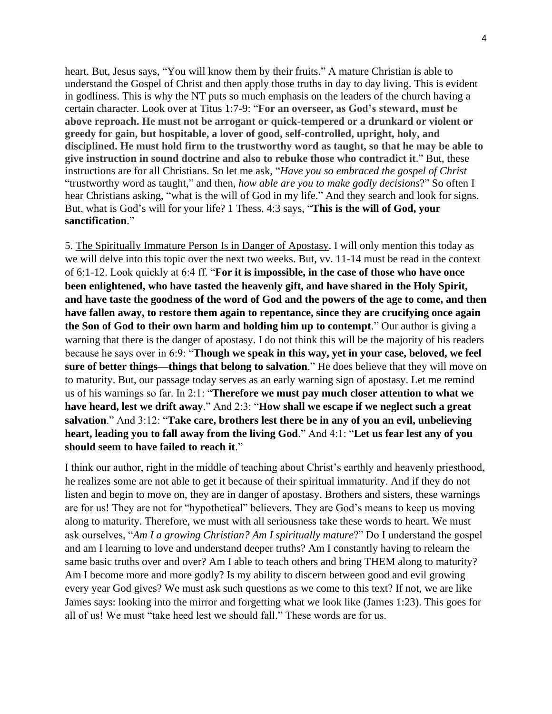heart. But, Jesus says, "You will know them by their fruits." A mature Christian is able to understand the Gospel of Christ and then apply those truths in day to day living. This is evident in godliness. This is why the NT puts so much emphasis on the leaders of the church having a certain character. Look over at Titus 1:7-9: "**For an overseer, as God's steward, must be above reproach. He must not be arrogant or quick-tempered or a drunkard or violent or greedy for gain, but hospitable, a lover of good, self-controlled, upright, holy, and disciplined. He must hold firm to the trustworthy word as taught, so that he may be able to give instruction in sound doctrine and also to rebuke those who contradict it**." But, these instructions are for all Christians. So let me ask, "*Have you so embraced the gospel of Christ* "trustworthy word as taught," and then, *how able are you to make godly decisions*?" So often I hear Christians asking, "what is the will of God in my life." And they search and look for signs. But, what is God's will for your life? 1 Thess. 4:3 says, "**This is the will of God, your sanctification**."

5. The Spiritually Immature Person Is in Danger of Apostasy. I will only mention this today as we will delve into this topic over the next two weeks. But, vv. 11-14 must be read in the context of 6:1-12. Look quickly at 6:4 ff. "**For it is impossible, in the case of those who have once been enlightened, who have tasted the heavenly gift, and have shared in the Holy Spirit, and have taste the goodness of the word of God and the powers of the age to come, and then have fallen away, to restore them again to repentance, since they are crucifying once again the Son of God to their own harm and holding him up to contempt**." Our author is giving a warning that there is the danger of apostasy. I do not think this will be the majority of his readers because he says over in 6:9: "**Though we speak in this way, yet in your case, beloved, we feel sure of better things—things that belong to salvation**." He does believe that they will move on to maturity. But, our passage today serves as an early warning sign of apostasy. Let me remind us of his warnings so far. In 2:1: "**Therefore we must pay much closer attention to what we have heard, lest we drift away**." And 2:3: "**How shall we escape if we neglect such a great salvation**." And 3:12: "**Take care, brothers lest there be in any of you an evil, unbelieving heart, leading you to fall away from the living God**." And 4:1: "**Let us fear lest any of you should seem to have failed to reach it**."

I think our author, right in the middle of teaching about Christ's earthly and heavenly priesthood, he realizes some are not able to get it because of their spiritual immaturity. And if they do not listen and begin to move on, they are in danger of apostasy. Brothers and sisters, these warnings are for us! They are not for "hypothetical" believers. They are God's means to keep us moving along to maturity. Therefore, we must with all seriousness take these words to heart. We must ask ourselves, "*Am I a growing Christian? Am I spiritually mature*?" Do I understand the gospel and am I learning to love and understand deeper truths? Am I constantly having to relearn the same basic truths over and over? Am I able to teach others and bring THEM along to maturity? Am I become more and more godly? Is my ability to discern between good and evil growing every year God gives? We must ask such questions as we come to this text? If not, we are like James says: looking into the mirror and forgetting what we look like (James 1:23). This goes for all of us! We must "take heed lest we should fall." These words are for us.